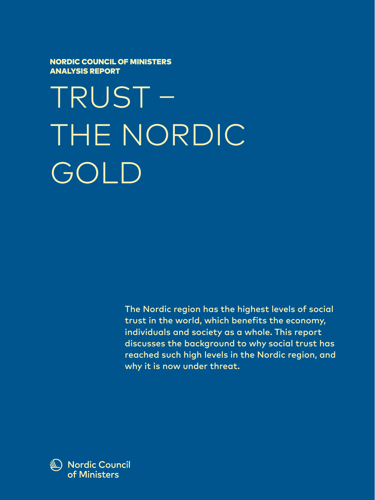NORDIC COUNCIL OF MINISTERS ANALYSIS REPORT

TRUST – THE NORDIC GOLD

> The Nordic region has the highest levels of social trust in the world, which benefits the economy, individuals and society as a whole. This report discusses the background to why social trust has reached such high levels in the Nordic region, and why it is now under threat.

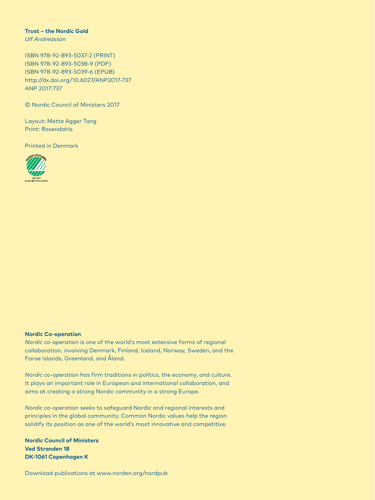#### **Trust – the Nordic Gold**

*Ulf Andreasson*

ISBN 978-92-893-5037-2 (PRINT) ISBN 978-92-893-5038-9 (PDF) ISBN 978-92-893-5039-6 (EPUB) http://dx.doi.org/10.6027/ANP2017-737 ANP 2017:737

© Nordic Council of Ministers 2017

Layout: Mette Agger Tang Print: Rosendahls

Printed in Denmark



#### **Nordic Co-operation**

*Nordic co-operation* is one of the world's most extensive forms of regional collaboration, involving Denmark, Finland, Iceland, Norway, Sweden, and the Faroe Islands, Greenland, and Åland.

*Nordic co-operation* has firm traditions in politics, the economy, and culture. It plays an important role in European and international collaboration, and aims at creating a strong Nordic community in a strong Europe.

*Nordic co-operation* seeks to safeguard Nordic and regional interests and principles in the global community. Common Nordic values help the region solidify its position as one of the world's most innovative and competitive.

**Nordic Council of Ministers Ved Stranden 18 DK-1061 Copenhagen K**

Download publications at www.norden.org/nordpub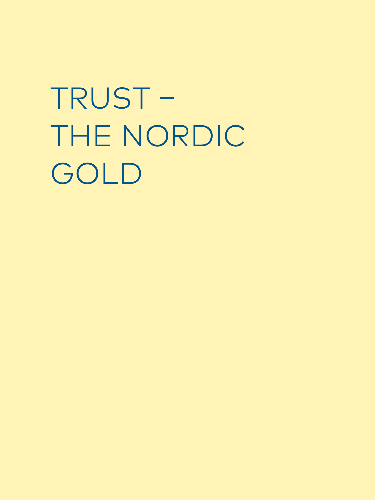TRUST – THE NORDIC GOLD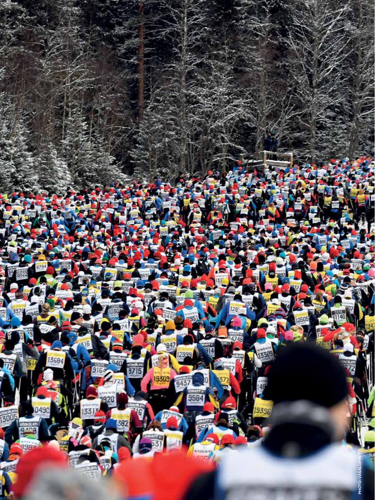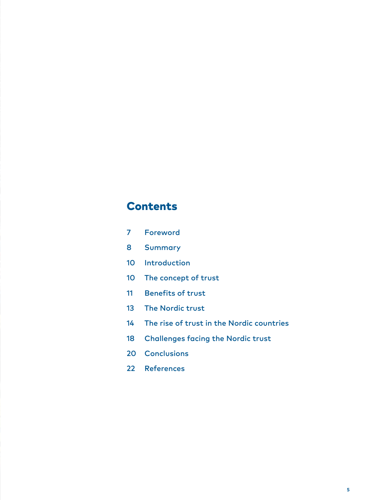# **Contents**

- Foreword
- Summary
- 10 Introduction
- The concept of trust
- Benefits of trust
- The Nordic trust
- The rise of trust in the Nordic countries
- Challenges facing the Nordic trust
- 20 Conclusions
- References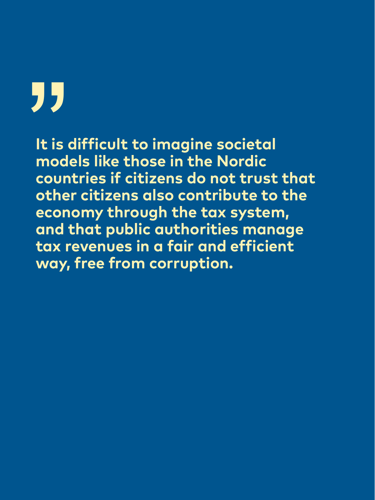# "

**It is difficult to imagine societal models like those in the Nordic countries if citizens do not trust that other citizens also contribute to the economy through the tax system, and that public authorities manage tax revenues in a fair and efficient way, free from corruption.**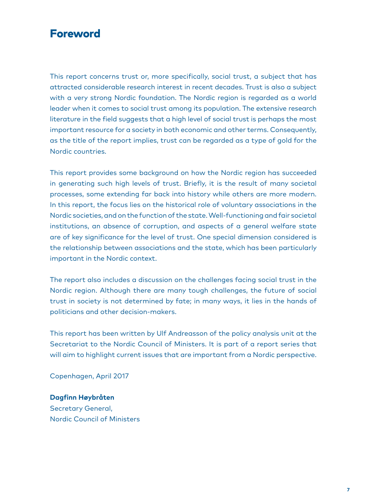## Foreword

This report concerns trust or, more specifically, social trust, a subject that has attracted considerable research interest in recent decades. Trust is also a subject with a very strong Nordic foundation. The Nordic region is regarded as a world leader when it comes to social trust among its population. The extensive research literature in the field suggests that a high level of social trust is perhaps the most important resource for a society in both economic and other terms. Consequently, as the title of the report implies, trust can be regarded as a type of gold for the Nordic countries.

This report provides some background on how the Nordic region has succeeded in generating such high levels of trust. Briefly, it is the result of many societal processes, some extending far back into history while others are more modern. In this report, the focus lies on the historical role of voluntary associations in the Nordic societies, and on the function of the state. Well-functioning and fair societal institutions, an absence of corruption, and aspects of a general welfare state are of key significance for the level of trust. One special dimension considered is the relationship between associations and the state, which has been particularly important in the Nordic context.

The report also includes a discussion on the challenges facing social trust in the Nordic region. Although there are many tough challenges, the future of social trust in society is not determined by fate; in many ways, it lies in the hands of politicians and other decision-makers.

This report has been written by Ulf Andreasson of the policy analysis unit at the Secretariat to the Nordic Council of Ministers. It is part of a report series that will aim to highlight current issues that are important from a Nordic perspective.

Copenhagen, April 2017

**Dagfinn Høybråten** Secretary General, Nordic Council of Ministers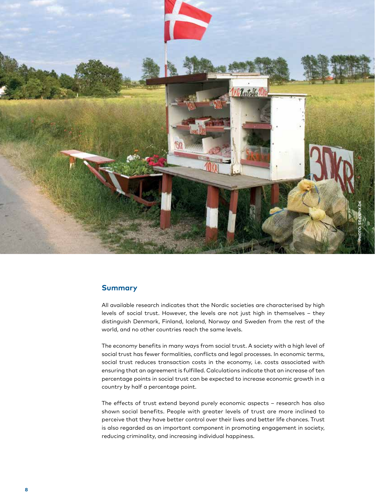

#### **Summary**

All available research indicates that the Nordic societies are characterised by high levels of social trust. However, the levels are not just high in themselves – they distinguish Denmark, Finland, Iceland, Norway and Sweden from the rest of the world, and no other countries reach the same levels.

The economy benefits in many ways from social trust. A society with a high level of social trust has fewer formalities, conflicts and legal processes. In economic terms, social trust reduces transaction costs in the economy, i.e. costs associated with ensuring that an agreement is fulfilled. Calculations indicate that an increase of ten percentage points in social trust can be expected to increase economic growth in a country by half a percentage point.

The effects of trust extend beyond purely economic aspects – research has also shown social benefits. People with greater levels of trust are more inclined to perceive that they have better control over their lives and better life chances. Trust is also regarded as an important component in promoting engagement in society, reducing criminality, and increasing individual happiness.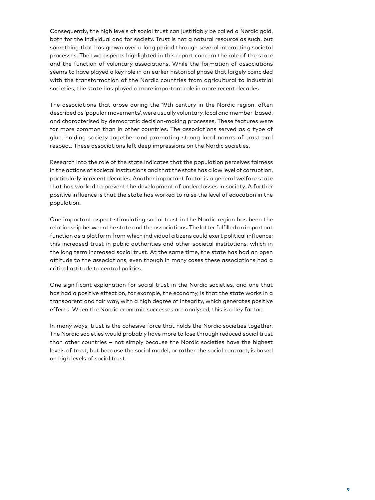Consequently, the high levels of social trust can justifiably be called a Nordic gold, both for the individual and for society. Trust is not a natural resource as such, but something that has grown over a long period through several interacting societal processes. The two aspects highlighted in this report concern the role of the state and the function of voluntary associations. While the formation of associations seems to have played a key role in an earlier historical phase that largely coincided with the transformation of the Nordic countries from agricultural to industrial societies, the state has played a more important role in more recent decades.

The associations that arose during the 19th century in the Nordic region, often described as 'popular movements', were usually voluntary, local and member-based, and characterised by democratic decision-making processes. These features were far more common than in other countries. The associations served as a type of glue, holding society together and promoting strong local norms of trust and respect. These associations left deep impressions on the Nordic societies.

Research into the role of the state indicates that the population perceives fairness in the actions of societal institutions and that the state has a low level of corruption, particularly in recent decades. Another important factor is a general welfare state that has worked to prevent the development of underclasses in society. A further positive influence is that the state has worked to raise the level of education in the population.

One important aspect stimulating social trust in the Nordic region has been the relationship between the state and the associations. The latter fulfilled an important function as a platform from which individual citizens could exert political influence; this increased trust in public authorities and other societal institutions, which in the long term increased social trust. At the same time, the state has had an open attitude to the associations, even though in many cases these associations had a critical attitude to central politics.

One significant explanation for social trust in the Nordic societies, and one that has had a positive effect on, for example, the economy, is that the state works in a transparent and fair way, with a high degree of integrity, which generates positive effects. When the Nordic economic successes are analysed, this is a key factor.

In many ways, trust is the cohesive force that holds the Nordic societies together. The Nordic societies would probably have more to lose through reduced social trust than other countries – not simply because the Nordic societies have the highest levels of trust, but because the social model, or rather the social contract, is based on high levels of social trust.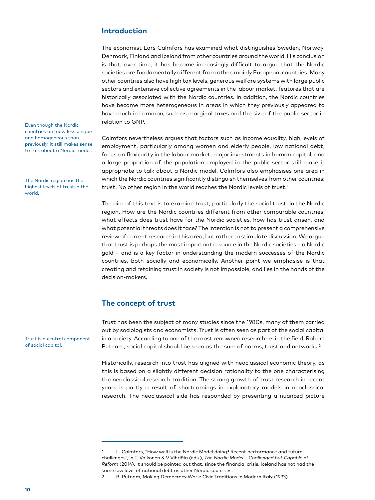#### **Introduction**

The economist Lars Calmfors has examined what distinguishes Sweden, Norway, Denmark, Finland and Iceland from other countries around the world. His conclusion is that, over time, it has become increasingly difficult to argue that the Nordic societies are fundamentally different from other, mainly European, countries. Many other countries also have high tax levels, generous welfare systems with large public sectors and extensive collective agreements in the labour market, features that are historically associated with the Nordic countries. In addition, the Nordic countries have become more heterogeneous in areas in which they previously appeared to have much in common, such as marginal taxes and the size of the public sector in relation to GNP.

Calmfors nevertheless argues that factors such as income equality, high levels of employment, particularly among women and elderly people, low national debt, focus on flexicurity in the labour market, major investments in human capital, and a large proportion of the population employed in the public sector still make it appropriate to talk about a Nordic model. Calmfors also emphasises one area in which the Nordic countries significantly distinguish themselves from other countries: trust. No other region in the world reaches the Nordic levels of trust.<sup>1</sup>

The aim of this text is to examine trust, particularly the social trust, in the Nordic region. How are the Nordic countries different from other comparable countries, what effects does trust have for the Nordic societies, how has trust arisen, and what potential threats does it face? The intention is not to present a comprehensive review of current research in this area, but rather to stimulate discussion. We argue that trust is perhaps the most important resource in the Nordic societies – a Nordic gold – and is a key factor in understanding the modern successes of the Nordic countries, both socially and economically. Another point we emphasise is that creating and retaining trust in society is not impossible, and lies in the hands of the decision-makers.

## **The concept of trust**

Trust has been the subject of many studies since the 1980s, many of them carried out by sociologists and economists. Trust is often seen as part of the social capital in a society. According to one of the most renowned researchers in the field, Robert Putnam, social capital should be seen as the sum of norms, trust and networks.<sup>2</sup>

Historically, research into trust has aligned with neoclassical economic theory, as this is based on a slightly different decision rationality to the one characterising the neoclassical research tradition. The strong growth of trust research in recent years is partly a result of shortcomings in explanatory models in neoclassical research. The neoclassical side has responded by presenting a nuanced picture

Even though the Nordic countries are now less unique and homogeneous than previously, it still makes sense to talk about a Nordic model.

The Nordic region has the highest levels of trust in the world.

Trust is a central component of social capital.

<sup>1.</sup> L. Calmfors, "How well is the Nordic Model doing? Recent performance and future challenges", in T. Valkonen & V Vihriäla (eds.), *The Nordic Model – Challenged but Capable of Reform* (2014). It should be pointed out that, since the financial crisis, Iceland has not had the same low level of national debt as other Nordic countries.

<sup>2.</sup> R. Putnam, Making Democracy Work: Civic Traditions in Modern Italy (1993).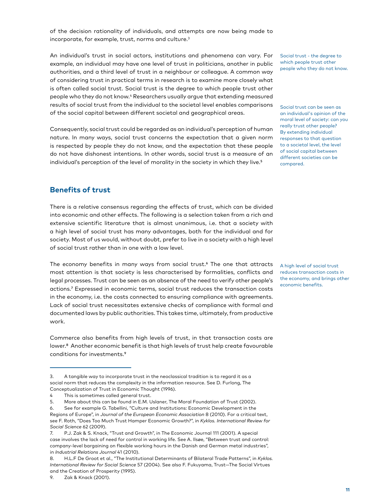of the decision rationality of individuals, and attempts are now being made to incorporate, for example, trust, norms and culture.3

An individual's trust in social actors, institutions and phenomena can vary. For example, an individual may have one level of trust in politicians, another in public authorities, and a third level of trust in a neighbour or colleague. A common way of considering trust in practical terms in research is to examine more closely what is often called social trust. Social trust is the degree to which people trust other people who they do not know.4 Researchers usually argue that extending measured results of social trust from the individual to the societal level enables comparisons of the social capital between different societal and geographical areas.

Consequently, social trust could be regarded as an individual's perception of human nature. In many ways, social trust concerns the expectation that a given norm is respected by people they do not know, and the expectation that these people do not have dishonest intentions. In other words, social trust is a measure of an individual's perception of the level of morality in the society in which they live.<sup>5</sup>

Social trust - the degree to which people trust other people who they do not know.

Social trust can be seen as an individual's opinion of the moral level of society: can you really trust other people? By extending individual responses to that question to a societal level, the level of social capital between different societies can be compared.

#### **Benefits of trust**

There is a relative consensus regarding the effects of trust, which can be divided into economic and other effects. The following is a selection taken from a rich and extensive scientific literature that is almost unanimous, i.e. that a society with a high level of social trust has many advantages, both for the individual and for society. Most of us would, without doubt, prefer to live in a society with a high level of social trust rather than in one with a low level.

The economy benefits in many ways from social trust.<sup>6</sup> The one that attracts most attention is that society is less characterised by formalities, conflicts and legal processes. Trust can be seen as an absence of the need to verify other people's actions.7 Expressed in economic terms, social trust reduces the transaction costs in the economy, i.e. the costs connected to ensuring compliance with agreements. Lack of social trust necessitates extensive checks of compliance with formal and documented laws by public authorities. This takes time, ultimately, from productive work.

Commerce also benefits from high levels of trust, in that transaction costs are lower.<sup>8</sup> Another economic benefit is that high levels of trust help create favourable conditions for investments.9

A high level of social trust reduces transaction costs in the economy, and brings other economic benefits.

<sup>3.</sup> A tangible way to incorporate trust in the neoclassical tradition is to regard it as a social norm that reduces the complexity in the information resource. See D. Furlong, The Conceptualization of Trust in Economic Thought (1996).

<sup>4</sup> This is sometimes called general trust.

<sup>5.</sup> More about this can be found in E.M. Uslaner, The Moral Foundation of Trust (2002).

<sup>6.</sup> See for example G. Tabellini, "Culture and Institutions: Economic Development in the Regions of Europe", in *Journal of the European Economic Association* 8 (2010). For a critical text, see F. Roth, "Does Too Much Trust Hamper Economic Growth?", in *Kyklos. International Review for Social Science* 62 (2009).

<sup>7.</sup> P.J. Zak & S. Knack, "Trust and Growth", in The Economic Journal 111 (2001). A special case involves the lack of need for control in working life. See A. Ilsøe, "Between trust and control: company-level bargaining on flexible working hours in the Danish and German metal industries", in *Industrial Relations Journal* 41 (2010).

<sup>8.</sup> H.L.F De Groot et al., "The Institutional Determinants of Bilateral Trade Patterns", in *Kyklos. International Review for Social Science* 57 (2004). See also F. Fukuyama, Trust—The Social Virtues and the Creation of Prosperity (1995).

<sup>9.</sup> Zak & Knack (2001).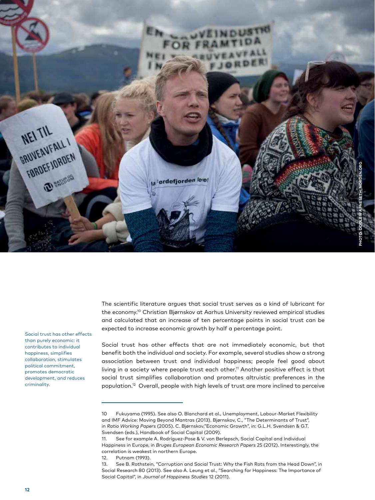

Social trust has other effects than purely economic: it contributes to individual happiness, simplifies collaboration, stimulates political commitment, promotes democratic development, and reduces criminality.

The scientific literature argues that social trust serves as a kind of lubricant for the economy.10 Christian Bjørnskov at Aarhus University reviewed empirical studies and calculated that an increase of ten percentage points in social trust can be expected to increase economic growth by half a percentage point.

Social trust has other effects that are not immediately economic, but that benefit both the individual and society. For example, several studies show a strong association between trust and individual happiness; people feel good about living in a society where people trust each other.<sup>11</sup> Another positive effect is that social trust simplifies collaboration and promotes altruistic preferences in the population.12 Overall, people with high levels of trust are more inclined to perceive

<sup>10</sup> Fukuyama (1995). See also O. Blanchard et al., Unemployment, Labour-Market Flexibility and IMF Advice: Moving Beyond Mantras (2013). Bjørnskov, C., "The Determinants of Trust", in *Ratio Working Papers* (2005). C. Bjørnskov,"Economic Growth", in: G.L.H. Svendsen & G.T. Svendsen (eds.), Handbook of Social Capital (2009).

<sup>11.</sup> See for example A. Rodríguez-Pose & V. von Berlepsch, Social Capital and Individual Happiness in Europe, in *Bruges European Economic Research Papers* 25 (2012). Interestingly, the correlation is weakest in northern Europe.

<sup>12.</sup> Putnam (1993).

<sup>13.</sup> See B. Rothstein, "Corruption and Social Trust: Why the Fish Rots from the Head Down", in Social Research 80 (2013). See also A. Leung et al., "Searching for Happiness: The Importance of Social Capital", in *Journal of Happiness Studies* 12 (2011).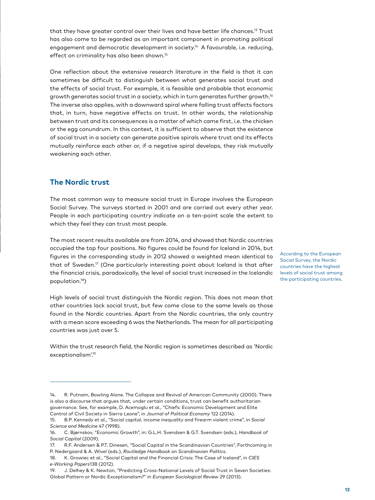that they have greater control over their lives and have better life chances.<sup>13</sup> Trust has also come to be regarded as an important component in promoting political engagement and democratic development in society.<sup>14</sup> A favourable, i.e. reducing, effect on criminality has also been shown.<sup>15</sup>

One reflection about the extensive research literature in the field is that it can sometimes be difficult to distinguish between what generates social trust and the effects of social trust. For example, it is feasible and probable that economic growth generates social trust in a society, which in turn generates further growth.16 The inverse also applies, with a downward spiral where falling trust affects factors that, in turn, have negative effects on trust. In other words, the relationship between trust and its consequences is a matter of which came first, i.e. the chicken or the egg conundrum. In this context, it is sufficient to observe that the existence of social trust in a society can generate positive spirals where trust and its effects mutually reinforce each other or, if a negative spiral develops, they risk mutually weakening each other.

## **The Nordic trust**

The most common way to measure social trust in Europe involves the European Social Survey. The surveys started in 2001 and are carried out every other year. People in each participating country indicate on a ten-point scale the extent to which they feel they can trust most people.

The most recent results available are from 2014, and showed that Nordic countries occupied the top four positions. No figures could be found for Iceland in 2014, but figures in the corresponding study in 2012 showed a weighted mean identical to that of Sweden.<sup>17</sup> (One particularly interesting point about Iceland is that after the financial crisis, paradoxically, the level of social trust increased in the Icelandic population.18)

High levels of social trust distinguish the Nordic region. This does not mean that other countries lack social trust, but few come close to the same levels as those found in the Nordic countries. Apart from the Nordic countries, the only country with a mean score exceeding 6 was the Netherlands. The mean for all participating countries was just over 5.

Within the trust research field, the Nordic region is sometimes described as 'Nordic exceptionalism'.19

According to the European Social Survey, the Nordic countries have the highest levels of social trust among the participating countries.

<sup>14.</sup> R. Putnam, Bowling Alone. The Collapse and Revival of American Community (2000). There is also a discourse that argues that, under certain conditions, trust can benefit authoritarian governance. See, for example, D. Acemoglu et al., "Chiefs: Economic Development and Elite Control of Civil Society in Sierra Leone", in *Journal of Political Economy* 122 (2014).

<sup>15.</sup> B.P. Kennedy et al., "Social capital, income inequality and firearm violent crime", in *Social Science and Medicine* 47 (1998).

<sup>16.</sup> C. Bjørnskov, "Economic Growth", in: G.L.H. Svendsen & G.T. Svendsen (eds.), *Handbook of Social Capital* (2009).

<sup>17.</sup> R.F. Andersen & P.T. Dinesen, "Social Capital in the Scandinavian Countries", Forthcoming in P. Nedergaard & A. Wivel (eds.), *Routledge Handbook on Scandinavian Politics*.

<sup>18.</sup> K. Growiec et al., "Social Capital and the Financial Crisis: The Case of Iceland", in *CIES e-Working Papers*138 (2012).

<sup>19.</sup> J. Delhey & K. Newton, "Predicting Cross-National Levels of Social Trust in Seven Societies: Global Pattern or Nordic Exceptionalism?" in *European Sociological Review* 29 (2013).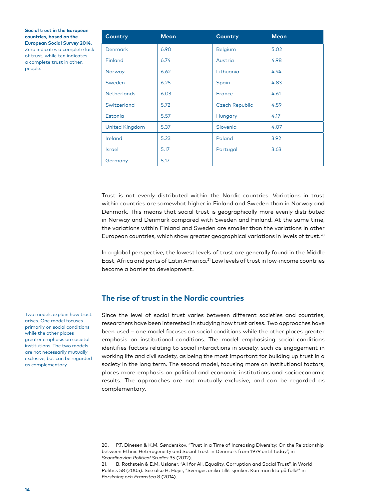**Social trust in the European countries, based on the European Social Survey 2014.** Zero indicates a complete lack of trust, while ten indicates

a complete trust in other. people.

| <b>Country</b>        | <b>Mean</b> | <b>Country</b>        | <b>Mean</b> |
|-----------------------|-------------|-----------------------|-------------|
| <b>Denmark</b>        | 6.90        | <b>Belgium</b>        | 5.02        |
| <b>Finland</b>        | 6.74        | Austria               | 4.98        |
| Norway                | 6.62        | Lithuania             | 4.94        |
| Sweden                | 6.25        | Spain                 | 4.83        |
| <b>Netherlands</b>    | 6.03        | <b>France</b>         | 4.61        |
| Switzerland           | 5.72        | <b>Czech Republic</b> | 4.59        |
| Estonia               | 5.57        | Hungary               | 4.17        |
| <b>United Kingdom</b> | 5.37        | Slovenia              | 4.07        |
| Ireland               | 5.23        | Poland                | 3.92        |
| <b>Israel</b>         | 5.17        | Portugal              | 3.63        |
| Germany               | 5.17        |                       |             |

Trust is not evenly distributed within the Nordic countries. Variations in trust within countries are somewhat higher in Finland and Sweden than in Norway and Denmark. This means that social trust is geographically more evenly distributed in Norway and Denmark compared with Sweden and Finland. At the same time, the variations within Finland and Sweden are smaller than the variations in other European countries, which show greater geographical variations in levels of trust.<sup>20</sup>

In a global perspective, the lowest levels of trust are generally found in the Middle East, Africa and parts of Latin America.21 Low levels of trust in low-income countries become a barrier to development.

## **The rise of trust in the Nordic countries**

Since the level of social trust varies between different societies and countries, researchers have been interested in studying how trust arises. Two approaches have been used – one model focuses on social conditions while the other places greater emphasis on institutional conditions. The model emphasising social conditions identifies factors relating to social interactions in society, such as engagement in working life and civil society, as being the most important for building up trust in a society in the long term. The second model, focusing more on institutional factors, places more emphasis on political and economic institutions and socioeconomic results. The approaches are not mutually exclusive, and can be regarded as complementary.

Two models explain how trust arises. One model focuses primarily on social conditions while the other places greater emphasis on societal institutions. The two models are not necessarily mutually exclusive, but can be regarded as complementary.

<sup>20.</sup> P.T. Dinesen & K.M. Sønderskov, "Trust in a Time of Increasing Diversity: On the Relationship between Ethnic Heterogeneity and Social Trust in Denmark from 1979 until Today", in *Scandinavian Political Studies* 35 (2012).

<sup>21.</sup> B. Rothstein & E.M. Uslaner, "All for All. Equality, Corruption and Social Trust", in World Politics 58 (2005). See also H. Höjer, "Sveriges unika tillit sjunker: Kan man lita på folk?" in *Forskning och Framsteg* 8 (2014).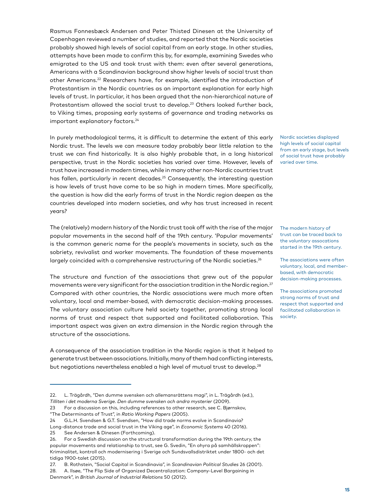Rasmus Fonnesbæck Andersen and Peter Thisted Dinesen at the University of Copenhagen reviewed a number of studies, and reported that the Nordic societies probably showed high levels of social capital from an early stage. In other studies, attempts have been made to confirm this by, for example, examining Swedes who emigrated to the US and took trust with them: even after several generations, Americans with a Scandinavian background show higher levels of social trust than other Americans.22 Researchers have, for example, identified the introduction of Protestantism in the Nordic countries as an important explanation for early high levels of trust. In particular, it has been argued that the non-hierarchical nature of Protestantism allowed the social trust to develop.<sup>23</sup> Others looked further back, to Viking times, proposing early systems of governance and trading networks as important explanatory factors.<sup>24</sup>

In purely methodological terms, it is difficult to determine the extent of this early Nordic trust. The levels we can measure today probably bear little relation to the trust we can find historically. It is also highly probable that, in a long historical perspective, trust in the Nordic societies has varied over time. However, levels of trust have increased in modern times, while in many other non-Nordic countries trust has fallen, particularly in recent decades.<sup>25</sup> Consequently, the interesting question is how levels of trust have come to be so high in modern times. More specifically, the question is how did the early forms of trust in the Nordic region deepen as the countries developed into modern societies, and why has trust increased in recent years?

The (relatively) modern history of the Nordic trust took off with the rise of the major popular movements in the second half of the 19th century. 'Popular movements' is the common generic name for the people's movements in society, such as the sobriety, revivalist and worker movements. The foundation of these movements largely coincided with a comprehensive restructuring of the Nordic societies.<sup>26</sup>

The structure and function of the associations that grew out of the popular movements were very significant for the association tradition in the Nordic region.<sup>27</sup> Compared with other countries, the Nordic associations were much more often voluntary, local and member-based, with democratic decision-making processes. The voluntary association culture held society together, promoting strong local norms of trust and respect that supported and facilitated collaboration. This important aspect was given an extra dimension in the Nordic region through the structure of the associations.

A consequence of the association tradition in the Nordic region is that it helped to generate trust between associations. Initially, many of them had conflicting interests, but negotiations nevertheless enabled a high level of mutual trust to develop.<sup>28</sup>

Nordic societies displayed high levels of social capital from an early stage, but levels of social trust have probably varied over time.

The modern history of trust can be traced back to the voluntary assocations started in the 19th century.

The associations were often voluntary, local, and memberbased, with democratic decision-making processes.

The associations promoted strong norms of trust and respect that supported and facilitated collaboration in society.

<sup>22.</sup> L. Trägårdh, "Den dumme svensken och allemansrättens magi", in L. Trägårdh (ed.), *Tilliten i det moderna Sverige. Den dumme svensken och andra mysterier* (2009).

<sup>23</sup> For a discussion on this, including references to other research, see C. Bjørnskov, "The Determinants of Trust", in *Ratio Working Papers* (2005).

<sup>24</sup> G.L.H. Svendsen & G.T. Svendsen, "How did trade norms evolve in Scandinavia?

Long-distance trade and social trust in the Viking age", in *Economic Systems* 40 (2016). 25 See Andersen & Dinesen (Forthcoming).

<sup>26.</sup> For a Swedish discussion on the structural transformation during the 19th century, the popular movements and relationship to trust, see G. Svedin, "En ohyra på samhällskroppen": Kriminalitet, kontroll och modernisering i Sverige och Sundsvallsdistriktet under 1800- och det tidiga 1900-talet (2015).

<sup>27.</sup> B. Rothstein, "Social Capital in Scandinavia", in *Scandinavian Political Studies* 26 (2001).

<sup>28.</sup> A. Ilsøe, "The Flip Side of Organized Decentralization: Company-Level Bargaining in Denmark", in *British Journal of Industrial Relations* 50 (2012).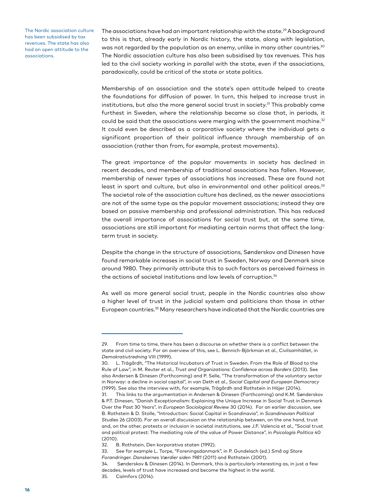The Nordic association culture has been subsidised by tax revenues. The state has also had an open attitude to the associations.

The associations have had an important relationship with the state.<sup>29</sup> A background to this is that, already early in Nordic history, the state, along with legislation, was not regarded by the population as an enemy, unlike in many other countries.<sup>30</sup> The Nordic association culture has also been subsidised by tax revenues. This has led to the civil society working in parallel with the state, even if the associations, paradoxically, could be critical of the state or state politics.

Membership of an association and the state's open attitude helped to create the foundations for diffusion of power. In turn, this helped to increase trust in institutions, but also the more general social trust in society.<sup>31</sup> This probably came furthest in Sweden, where the relationship became so close that, in periods, it could be said that the associations were merging with the government machine.<sup>32</sup> It could even be described as a corporative society where the individual gets a significant proportion of their political influence through membership of an association (rather than from, for example, protest movements).

The great importance of the popular movements in society has declined in recent decades, and membership of traditional associations has fallen. However, membership of newer types of associations has increased. These are found not least in sport and culture, but also in environmental and other political areas.33 The societal role of the association culture has declined, as the newer associations are not of the same type as the popular movement associations; instead they are based on passive membership and professional administration. This has reduced the overall importance of associations for social trust but, at the same time, associations are still important for mediating certain norms that affect the longterm trust in society.

Despite the change in the structure of associations, Sønderskov and Dinesen have found remarkable increases in social trust in Sweden, Norway and Denmark since around 1980. They primarily attribute this to such factors as perceived fairness in the actions of societal institutions and low levels of corruption.<sup>34</sup>

As well as more general social trust, people in the Nordic countries also show a higher level of trust in the judicial system and politicians than those in other European countries.35 Many researchers have indicated that the Nordic countries are

<sup>29.</sup> From time to time, there has been a discourse on whether there is a conflict between the state and civil society. For an overview of this, see L. Bennich-Björkman et al., Civilsamhället, in *Demokratiutredning* VIII (1999).

<sup>30.</sup> L. Trägårdh, "The Historical Incubators of Trust in Sweden. From the Role of Blood to the Rule of Law", in M. Reuter et al., *Trust and Organizations: Confidence across Borders* (2013). See also Andersen & Dinesen (Forthcoming) and P. Selle, "The transformation of the voluntary sector in Norway: a decline in social capital", in van Deth et al., *Social Capital and European Democracy*  (1999). See also the interview with, for example, Trägårdh and Rothstein in Höjer (2014).

<sup>31.</sup> This links to the argumentation in Andersen & Dinesen (Forthcoming) and K.M. Sønderskov & P.T. Dinesen, "Danish Exceptionalism: Explaining the Unique Increase in Social Trust in Denmark Over the Past 30 Years", in *European Sociological Review* 30 (2014). For an earlier discussion, see B. Rothstein & D. Stolle, "Introduction: Social Capital in Scandinavia", in *Scandinavian Political Studies* 26 (2003). For an overall discussion on the relationship between, on the one hand, trust and, on the other, protests or inclusion in societal institutions, see J.F. Valencia et al., "Social trust and political protest: The mediating role of the value of Power Distance", in *Psicología Política* 40 (2010).

<sup>32.</sup> B. Rothstein, Den korporativa staten (1992).

<sup>33.</sup> See for example L. Torpe, "Foreningsdanmark", in P. Gundelach (ed.) *Små og Store Forandringer. Danskernes Værdier siden 1981* (2011) and Rothstein (2001).

<sup>34.</sup> Sønderskov & Dinesen (2014). In Denmark, this is particularly interesting as, in just a few decades, levels of trust have increased and become the highest in the world.

<sup>35.</sup> Calmfors (2014).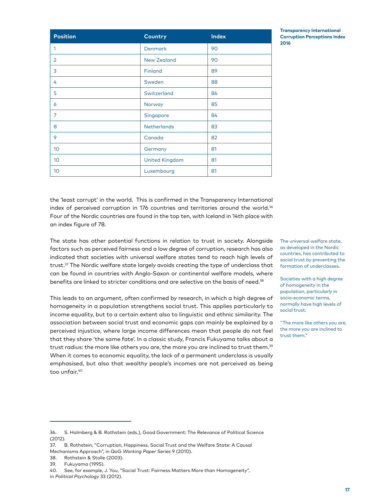**Position Country Index**

1 Denmark 90 2 New Zealand 90 3 **Finland** 89 4 Sweden 88 5 Switzerland 86 6 Norway 85 7 Singapore 84 8 Netherlands 83 9 Canada 82 10 Germany 81 10 **United Kingdom** 81 10 Luxembourg and 81

| $m$ , $m$ , $m$ , $m$ , $m$ , $m$ , $m$ , $m$ , $m$ , $m$ , $m$ , $m$ , $m$ , $m$ , $m$ , $m$ , $m$ , $m$ , $m$ , $m$ , $m$ , $m$ , $m$ , $m$ , $m$ , $m$ , $m$ , $m$ , $m$ , $m$ , $m$ , $m$ , $m$ , $m$ , $m$ , $m$ , $m$ , |  |
|-------------------------------------------------------------------------------------------------------------------------------------------------------------------------------------------------------------------------------|--|
| Four of the Nordic countries are found in the top ten, with Iceland in 14th place with                                                                                                                                        |  |
| an index fiaure of 78.                                                                                                                                                                                                        |  |
| The state has other potential functions in relation to trust in society. Alongside                                                                                                                                            |  |
| factors such as perceived fairness and a low degree of corruption, research has also $\,$ $\,^\circ$                                                                                                                          |  |

factors such as perceived fairness and a low degree of corruption, research has also indicated that societies with universal welfare states tend to reach high levels of trust.<sup>37</sup> The Nordic welfare state largely avoids creating the type of underclass that can be found in countries with Anglo-Saxon or continental welfare models, where benefits are linked to stricter conditions and are selective on the basis of need.<sup>38</sup>

This leads to an argument, often confirmed by research, in which a high degree of homogeneity in a population strengthens social trust. This applies particularly to income equality, but to a certain extent also to linguistic and ethnic similarity. The association between social trust and economic gaps can mainly be explained by a perceived injustice, where large income differences mean that people do not feel that they share 'the same fate'. In a classic study, Francis Fukuyama talks about a trust radius: the more like others you are, the more you are inclined to trust them.<sup>39</sup> When it comes to economic equality, the lack of a permanent underclass is usually emphasised, but also that wealthy people's incomes are not perceived as being too unfair.40

**Transparency International Corruption Perceptions Index 2016**

The universal welfare state, as developed in the Nordic countries, has contributed to social trust by preventing the formation of underclasses.

Societies with a high degree of homogeneity in the population, particularly in socio-economic terms, normally have high levels of social trust.

"The more like others you are, the more you are inclined to trust them."

<sup>36.</sup> S. Holmberg & B. Rothstein (eds.), Good Government: The Relevance of Political Science  $(2012)$ .

<sup>37.</sup> B. Rothstein, "Corruption, Happiness, Social Trust and the Welfare State: A Causal Mechanisms Approach", in QoG *Working Paper Series* 9 (2010).

<sup>38.</sup> Rothstein & Stolle (2003).

<sup>39.</sup> Fukuyama (1995).

<sup>40.</sup> See, for example, J. You, "Social Trust: Fairness Matters More than Homogeneity", in *Political Psychology* 33 (2012).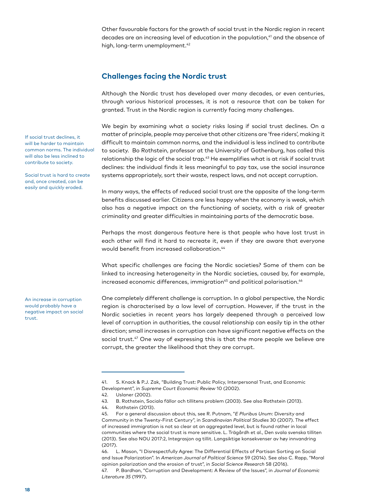Other favourable factors for the growth of social trust in the Nordic region in recent decades are an increasing level of education in the population,<sup>41</sup> and the absence of high, long-term unemployment.<sup>42</sup>

#### **Challenges facing the Nordic trust**

Although the Nordic trust has developed over many decades, or even centuries, through various historical processes, it is not a resource that can be taken for granted. Trust in the Nordic region is currently facing many challenges.

We begin by examining what a society risks losing if social trust declines. On a matter of principle, people may perceive that other citizens are 'free riders', making it difficult to maintain common norms, and the individual is less inclined to contribute to society. Bo Rothstein, professor at the University of Gothenburg, has called this relationship the logic of the social trap.<sup>43</sup> He exemplifies what is at risk if social trust declines: the individual finds it less meaningful to pay tax, use the social insurance systems appropriately, sort their waste, respect laws, and not accept corruption.

In many ways, the effects of reduced social trust are the opposite of the long-term benefits discussed earlier. Citizens are less happy when the economy is weak, which also has a negative impact on the functioning of society, with a risk of greater criminality and greater difficulties in maintaining parts of the democratic base.

Perhaps the most dangerous feature here is that people who have lost trust in each other will find it hard to recreate it, even if they are aware that everyone would benefit from increased collaboration.<sup>44</sup>

What specific challenges are facing the Nordic societies? Some of them can be linked to increasing heterogeneity in the Nordic societies, caused by, for example, increased economic differences, immigration<sup>45</sup> and political polarisation.<sup>46</sup>

One completely different challenge is corruption. In a global perspective, the Nordic region is characterised by a low level of corruption. However, if the trust in the Nordic societies in recent years has largely deepened through a perceived low level of corruption in authorities, the causal relationship can easily tip in the other direction; small increases in corruption can have significant negative effects on the social trust.<sup>47</sup> One way of expressing this is that the more people we believe are corrupt, the greater the likelihood that they are corrupt.

46. L. Mason, "I Disrespectfully Agree: The Differential Effects of Partisan Sorting on Social and Issue Polarization". In *American Journal of Political Science* 59 (2014). See also C. Rapp, "Moral opinion polarization and the erosion of trust", in *Social Science Research* 58 (2016). 47. P. Bardhan, "Corruption and Development: A Review of the Issues", in *Journal of Economic* 

If social trust declines, it will be harder to maintain common norms. The individual will also be less inclined to contribute to society.

Social trust is hard to create and, once created, can be easily and quickly eroded.

An increase in corruption would probably have a negative impact on social trust.

<sup>41.</sup> S. Knack & P.J. Zak, "Building Trust: Public Policy, Interpersonal Trust, and Economic Development", in *Supreme Court Economic Review* 10 (2002).

<sup>42.</sup> Uslaner (2002).

<sup>43.</sup> B. Rothstein, Sociala fällor och tillitens problem (2003). See also Rothstein (2013).

<sup>44.</sup> Rothstein (2013).

<sup>45.</sup> For a general discussion about this, see R. Putnam, "*E Pluribus Unum*: Diversity and Community in the Twenty-First Century", in *Scandinavian Political Studies* 30 (2007). The effect of increased immigration is not so clear at an aggregated level, but is found rather in local communities where the social trust is more sensitive. L. Trägårdh et al., Den svala svenska tilliten (2013). See also NOU 2017:2, Integrasjon og tillit. Langsiktige konsekvenser av høy innvandring (2017).

*Literature 35* (1997).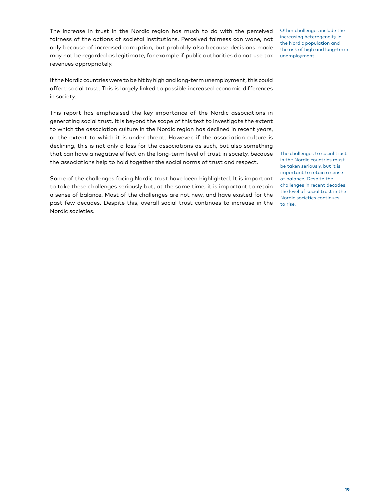The increase in trust in the Nordic region has much to do with the perceived fairness of the actions of societal institutions. Perceived fairness can wane, not only because of increased corruption, but probably also because decisions made may not be regarded as legitimate, for example if public authorities do not use tax revenues appropriately.

Other challenges include the increasing heterogeneity in the Nordic population and the risk of high and long-term unemployment.

If the Nordic countries were to be hit by high and long-term unemployment, this could affect social trust. This is largely linked to possible increased economic differences in society.

This report has emphasised the key importance of the Nordic associations in generating social trust. It is beyond the scope of this text to investigate the extent to which the association culture in the Nordic region has declined in recent years, or the extent to which it is under threat. However, if the association culture is declining, this is not only a loss for the associations as such, but also something that can have a negative effect on the long-term level of trust in society, because the associations help to hold together the social norms of trust and respect.

Some of the challenges facing Nordic trust have been highlighted. It is important to take these challenges seriously but, at the same time, it is important to retain a sense of balance. Most of the challenges are not new, and have existed for the past few decades. Despite this, overall social trust continues to increase in the Nordic societies.

The challenges to social trust in the Nordic countries must be taken seriously, but it is important to retain a sense of balance. Despite the challenges in recent decades, the level of social trust in the Nordic societies continues to rise.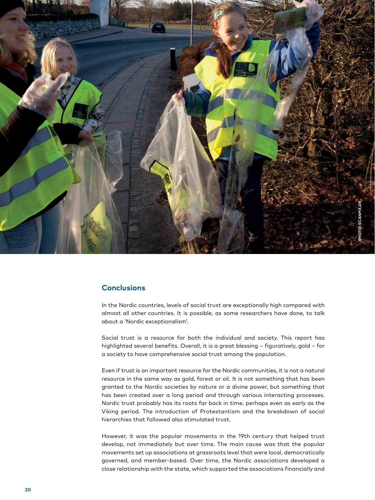

#### **Conclusions**

In the Nordic countries, levels of social trust are exceptionally high compared with almost all other countries. It is possible, as some researchers have done, to talk about a 'Nordic exceptionalism'.

Social trust is a resource for both the individual and society. This report has highlighted several benefits. Overall, it is a great blessing – figuratively, gold – for a society to have comprehensive social trust among the population.

Even if trust is an important resource for the Nordic communities, it is not a natural resource in the same way as gold, forest or oil. It is not something that has been granted to the Nordic societies by nature or a divine power, but something that has been created over a long period and through various interacting processes. Nordic trust probably has its roots far back in time, perhaps even as early as the Viking period. The introduction of Protestantism and the breakdown of social hierarchies that followed also stimulated trust.

However, it was the popular movements in the 19th century that helped trust develop, not immediately but over time. The main cause was that the popular movements set up associations at grassroots level that were local, democratically governed, and member-based. Over time, the Nordic associations developed a close relationship with the state, which supported the associations financially and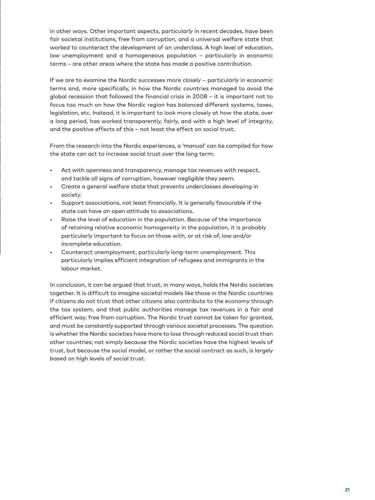in other ways. Other important aspects, particularly in recent decades, have been fair societal institutions, free from corruption, and a universal welfare state that worked to counteract the development of an underclass. A high level of education, low unemployment and a homogeneous population – particularly in economic terms – are other areas where the state has made a positive contribution.

If we are to examine the Nordic successes more closely – particularly in economic terms and, more specifically, in how the Nordic countries managed to avoid the global recession that followed the financial crisis in 2008 – it is important not to focus too much on how the Nordic region has balanced different systems, taxes, legislation, etc. Instead, it is important to look more closely at how the state, over a long period, has worked transparently, fairly, and with a high level of integrity, and the positive effects of this – not least the effect on social trust.

From the research into the Nordic experiences, a 'manual' can be compiled for how the state can act to increase social trust over the long term:

- Act with openness and transparency, manage tax revenues with respect, and tackle all signs of corruption, however negligible they seem.
- Create a general welfare state that prevents underclasses developing in society.
- Support associations, not least financially. It is generally favourable if the state can have an open attitude to associations.
- Raise the level of education in the population. Because of the importance of retaining relative economic homogeneity in the population, it is probably particularly important to focus on those with, or at risk of, low and/or incomplete education.
- Counteract unemployment, particularly long-term unemployment. This particularly implies efficient integration of refugees and immigrants in the labour market.

In conclusion, it can be argued that trust, in many ways, holds the Nordic societies together. It is difficult to imagine societal models like those in the Nordic countries if citizens do not trust that other citizens also contribute to the economy through the tax system, and that public authorities manage tax revenues in a fair and efficient way, free from corruption. The Nordic trust cannot be taken for granted, and must be constantly supported through various societal processes. The question is whether the Nordic societies have more to lose through reduced social trust than other countries; not simply because the Nordic societies have the highest levels of trust, but because the social model, or rather the social contract as such, is largely based on high levels of social trust.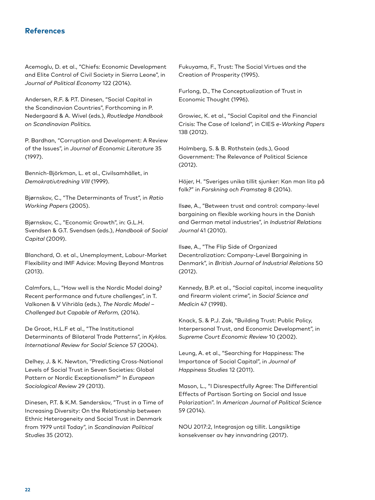#### **References**

Acemoglu, D. et al., "Chiefs: Economic Development and Elite Control of Civil Society in Sierra Leone", in *Journal of Political Economy* 122 (2014).

Andersen, R.F. & P.T. Dinesen, "Social Capital in the Scandinavian Countries", Forthcoming in P. Nedergaard & A. Wivel (eds.), *Routledge Handbook on Scandinavian Politics.*

P. Bardhan, "Corruption and Development: A Review of the Issues", in *Journal of Economic Literature* 35 (1997).

Bennich-Björkman, L. et al., Civilsamhället, in *Demokratiutredning VIII* (1999).

Bjørnskov, C., "The Determinants of Trust", in *Ratio Working Papers* (2005).

Bjørnskov, C., "Economic Growth", in: G.L.H. Svendsen & G.T. Svendsen (eds.), *Handbook of Social Capital* (2009).

Blanchard, O. et al., Unemployment, Labour-Market Flexibility and IMF Advice: Moving Beyond Mantras (2013).

Calmfors, L., "How well is the Nordic Model doing? Recent performance and future challenges", in T. Valkonen & V Vihriäla (eds.), *The Nordic Model – Challenged but Capable of Reform,* (2014).

De Groot, H.L.F et al., "The Institutional Determinants of Bilateral Trade Patterns", in *Kyklos. International Review for Social Science* 57 (2004).

Delhey, J. & K. Newton, "Predicting Cross-National Levels of Social Trust in Seven Societies: Global Pattern or Nordic Exceptionalism?" In *European Sociological Review* 29 (2013).

Dinesen, P.T. & K.M. Sønderskov, "Trust in a Time of Increasing Diversity: On the Relationship between Ethnic Heterogeneity and Social Trust in Denmark from 1979 until Today", in *Scandinavian Political Studies* 35 (2012).

Fukuyama, F., Trust: The Social Virtues and the Creation of Prosperity (1995).

Furlong, D., The Conceptualization of Trust in Economic Thought (1996).

Growiec, K. et al., "Social Capital and the Financial Crisis: The Case of Iceland", in CIES *e*-*Working Papers* 138 (2012).

Holmberg, S. & B. Rothstein (eds.), Good Government: The Relevance of Political Science (2012).

Höjer, H. "Sveriges unika tillit sjunker: Kan man lita på folk?" in *Forskning och Framsteg* 8 (2014).

Ilsøe, A., "Between trust and control: company-level bargaining on flexible working hours in the Danish and German metal industries", in *Industrial Relations Journal* 41 (2010).

Ilsøe, A., "The Flip Side of Organized Decentralization: Company-Level Bargaining in Denmark", in *British Journal of Industrial Relations* 50 (2012).

Kennedy, B.P. et al., "Social capital, income inequality and firearm violent crime", in *Social Science and Medicin* 47 (1998).

Knack, S. & P.J. Zak, "Building Trust: Public Policy, Interpersonal Trust, and Economic Development", in *Supreme Court Economic Review* 10 (2002).

Leung, A. et al., "Searching for Happiness: The Importance of Social Capital", in *Journal of Happiness Studies* 12 (2011).

Mason, L., "I Disrespectfully Agree: The Differential Effects of Partisan Sorting on Social and Issue Polarization". In *American Journal of Political Science*  59 (2014).

NOU 2017:2, Integrasjon og tillit. Langsiktige konsekvenser av høy innvandring (2017).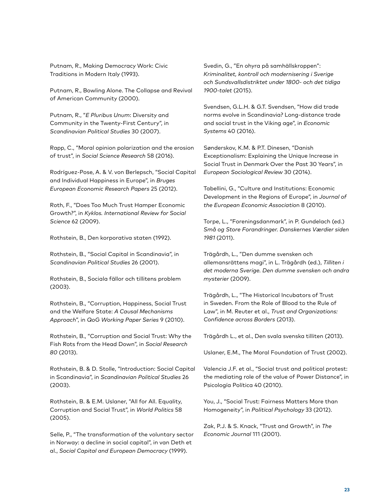Putnam, R., Making Democracy Work: Civic Traditions in Modern Italy (1993).

Putnam, R., Bowling Alone. The Collapse and Revival of American Community (2000).

Putnam, R., "*E Pluribus Unum*: Diversity and Community in the Twenty-First Century", in *Scandinavian Political Studies* 30 (2007).

Rapp, C., "Moral opinion polarization and the erosion of trust", in *Social Science Research* 58 (2016).

Rodríguez-Pose, A. & V. von Berlepsch, "Social Capital and Individual Happiness in Europe", in *Bruges European Economic Research Papers* 25 (2012).

Roth, F., "Does Too Much Trust Hamper Economic Growth?", in *Kyklos. International Review for Social Science* 62 (2009).

Rothstein, B., Den korporativa staten (1992).

Rothstein, B., "Social Capital in Scandinavia", in *Scandinavian Political Studies* 26 (2001).

Rothstein, B., Sociala fällor och tillitens problem (2003).

Rothstein, B., "Corruption, Happiness, Social Trust and the Welfare State: *A Causal Mechanisms Approach*", in *QoG Working Paper Series* 9 (2010).

Rothstein, B., "Corruption and Social Trust: Why the Fish Rots from the Head Down", in *Social Research 80* (2013).

Rothstein, B. & D. Stolle, "Introduction: Social Capital in Scandinavia", in *Scandinavian Political Studies* 26 (2003).

Rothstein, B. & E.M. Uslaner, "All for All. Equality, Corruption and Social Trust", in *World Politics* 58 (2005).

Selle, P., "The transformation of the voluntary sector in Norway: a decline in social capital", in van Deth et al., *Social Capital and European Democracy* (1999).

Svedin, G., "En ohyra på samhällskroppen": *Kriminalitet, kontroll och modernisering i Sverige och Sundsvallsdistriktet under 1800- och det tidiga 1900-talet* (2015).

Svendsen, G.L.H. & G.T. Svendsen, "How did trade norms evolve in Scandinavia? Long-distance trade and social trust in the Viking age", in *Economic Systems* 40 (2016).

Sønderskov, K.M. & P.T. Dinesen, "Danish Exceptionalism: Explaining the Unique Increase in Social Trust in Denmark Over the Past 30 Years", in *European Sociological Review* 30 (2014).

Tabellini, G., "Culture and Institutions: Economic Development in the Regions of Europe", in *Journal of the European Economic Associatio*n 8 (2010).

Torpe, L., "Foreningsdanmark", in P. Gundelach (ed.) *Små og Store Forandringer. Danskernes Værdier siden 1981* (2011).

Trägårdh, L., "Den dumme svensken och allemansrättens magi", in L. Trägårdh (ed.), *Tilliten i det moderna Sverige. Den dumme svensken och andra mysterier* (2009).

Trägårdh, L., "The Historical Incubators of Trust in Sweden. From the Role of Blood to the Rule of Law", in M. Reuter et al., *Trust and Organizations: Confidence across Borders* (2013).

Trägårdh L., et al., Den svala svenska tilliten (2013).

Uslaner, E.M., The Moral Foundation of Trust (2002).

Valencia J.F. et al., "Social trust and political protest: the mediating role of the value of Power Distance", in Psicología Política 40 (2010).

You, J., "Social Trust: Fairness Matters More than Homogeneity", in *Political Psychology* 33 (2012).

Zak, P.J. & S. Knack, "Trust and Growth", in *The Economic Journal* 111 (2001).